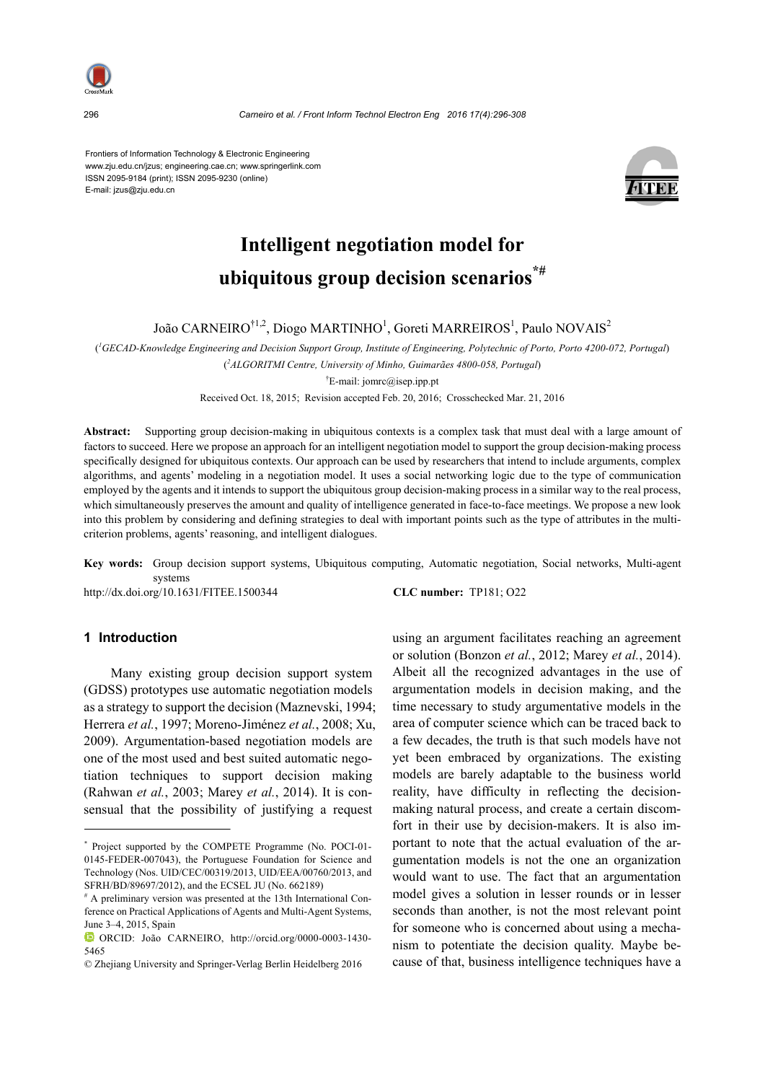

296 *Carneiro et al. / Front Inform Technol Electron Eng 2016 17(4):296-308* 

Frontiers of Information Technology & Electronic Engineering www.zju.edu.cn/jzus; engineering.cae.cn; www.springerlink.com ISSN 2095-9184 (print); ISSN 2095-9230 (online) E-mail: jzus@zju.edu.cn



# **Intelligent negotiation model for ubiquitous group decision scenarios\*#**

João CARNEIRO $^{\dagger1,2}$ , Diogo MARTINHO $^{\dagger}$ , Goreti MARREIROS $^{\dagger}$ , Paulo NOVAIS $^{\dagger}$ 

( *1 GECAD-Knowledge Engineering and Decision Support Group, Institute of Engineering, Polytechnic of Porto, Porto 4200-072, Portugal*)

( *2 ALGORITMI Centre, University of Minho, Guimarães 4800-058, Portugal*)

† E-mail: jomrc@isep.ipp.pt

Received Oct. 18, 2015; Revision accepted Feb. 20, 2016; Crosschecked Mar. 21, 2016

**Abstract:** Supporting group decision-making in ubiquitous contexts is a complex task that must deal with a large amount of factors to succeed. Here we propose an approach for an intelligent negotiation model to support the group decision-making process specifically designed for ubiquitous contexts. Our approach can be used by researchers that intend to include arguments, complex algorithms, and agents' modeling in a negotiation model. It uses a social networking logic due to the type of communication employed by the agents and it intends to support the ubiquitous group decision-making process in a similar way to the real process, which simultaneously preserves the amount and quality of intelligence generated in face-to-face meetings. We propose a new look into this problem by considering and defining strategies to deal with important points such as the type of attributes in the multicriterion problems, agents' reasoning, and intelligent dialogues.

**Key words:** Group decision support systems, Ubiquitous computing, Automatic negotiation, Social networks, Multi-agent systems

http://dx.doi.org/10.1631/FITEE.1500344 **CLC number:** TP181; O22

# **1 Introduction**

Many existing group decision support system (GDSS) prototypes use automatic negotiation models as a strategy to support the decision (Maznevski, 1994; Herrera *et al.*, 1997; Moreno-Jiménez *et al.*, 2008; Xu, 2009). Argumentation-based negotiation models are one of the most used and best suited automatic negotiation techniques to support decision making (Rahwan *et al.*, 2003; Marey *et al.*, 2014). It is consensual that the possibility of justifying a request

using an argument facilitates reaching an agreement or solution (Bonzon *et al.*, 2012; Marey *et al.*, 2014). Albeit all the recognized advantages in the use of argumentation models in decision making, and the time necessary to study argumentative models in the area of computer science which can be traced back to a few decades, the truth is that such models have not yet been embraced by organizations. The existing models are barely adaptable to the business world reality, have difficulty in reflecting the decisionmaking natural process, and create a certain discomfort in their use by decision-makers. It is also important to note that the actual evaluation of the argumentation models is not the one an organization would want to use. The fact that an argumentation model gives a solution in lesser rounds or in lesser seconds than another, is not the most relevant point for someone who is concerned about using a mechanism to potentiate the decision quality. Maybe because of that, business intelligence techniques have a

<sup>\*</sup> Project supported by the COMPETE Programme (No. POCI-01- 0145-FEDER-007043), the Portuguese Foundation for Science and Technology (Nos. UID/CEC/00319/2013, UID/EEA/00760/2013, and SFRH/BD/89697/2012), and the ECSEL JU (No. 662189)

<sup>#</sup> A preliminary version was presented at the 13th International Conference on Practical Applications of Agents and Multi-Agent Systems, June 3–4, 2015, Spain

ORCID: João CARNEIRO, http://orcid.org/0000-0003-1430- 5465

<sup>©</sup> Zhejiang University and Springer-Verlag Berlin Heidelberg 2016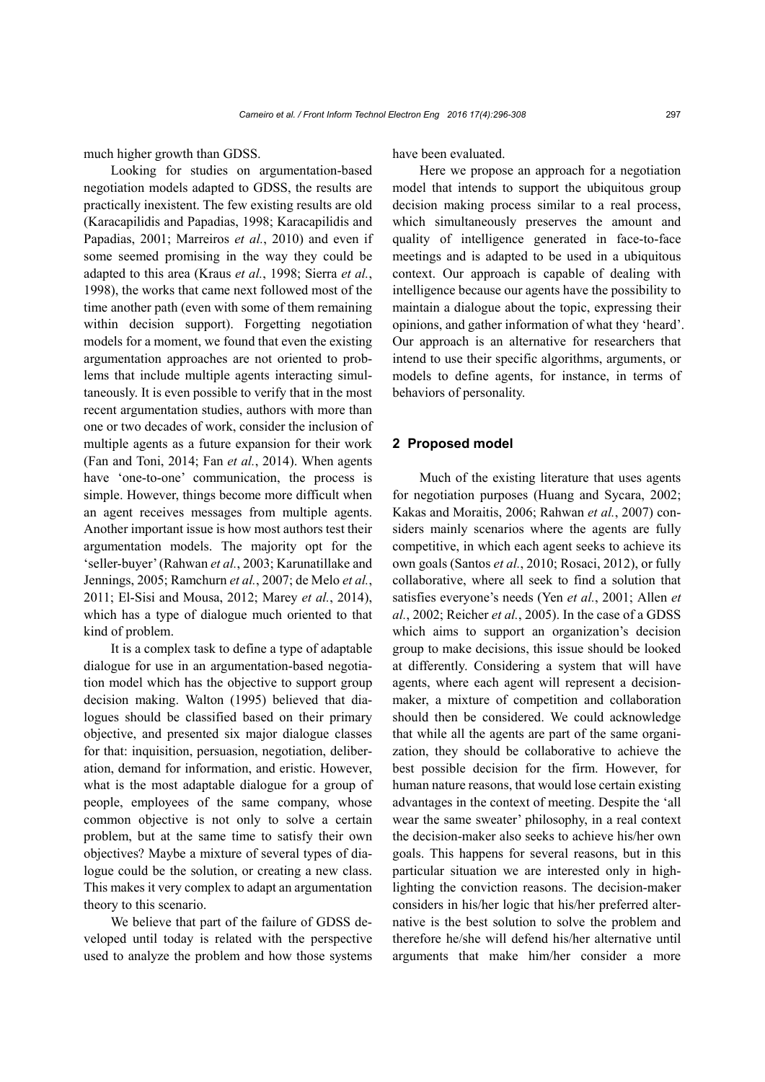much higher growth than GDSS.

Looking for studies on argumentation-based negotiation models adapted to GDSS, the results are practically inexistent. The few existing results are old (Karacapilidis and Papadias, 1998; Karacapilidis and Papadias, 2001; Marreiros *et al.*, 2010) and even if some seemed promising in the way they could be adapted to this area (Kraus *et al.*, 1998; Sierra *et al.*, 1998), the works that came next followed most of the time another path (even with some of them remaining within decision support). Forgetting negotiation models for a moment, we found that even the existing argumentation approaches are not oriented to problems that include multiple agents interacting simultaneously. It is even possible to verify that in the most recent argumentation studies, authors with more than one or two decades of work, consider the inclusion of multiple agents as a future expansion for their work (Fan and Toni, 2014; Fan *et al.*, 2014). When agents have 'one-to-one' communication, the process is simple. However, things become more difficult when an agent receives messages from multiple agents. Another important issue is how most authors test their argumentation models. The majority opt for the 'seller-buyer' (Rahwan *et al.*, 2003; Karunatillake and Jennings, 2005; Ramchurn *et al.*, 2007; de Melo *et al.*, 2011; El-Sisi and Mousa, 2012; Marey *et al.*, 2014), which has a type of dialogue much oriented to that kind of problem.

It is a complex task to define a type of adaptable dialogue for use in an argumentation-based negotiation model which has the objective to support group decision making. Walton (1995) believed that dialogues should be classified based on their primary objective, and presented six major dialogue classes for that: inquisition, persuasion, negotiation, deliberation, demand for information, and eristic. However, what is the most adaptable dialogue for a group of people, employees of the same company, whose common objective is not only to solve a certain problem, but at the same time to satisfy their own objectives? Maybe a mixture of several types of dialogue could be the solution, or creating a new class. This makes it very complex to adapt an argumentation theory to this scenario.

We believe that part of the failure of GDSS developed until today is related with the perspective used to analyze the problem and how those systems have been evaluated.

Here we propose an approach for a negotiation model that intends to support the ubiquitous group decision making process similar to a real process, which simultaneously preserves the amount and quality of intelligence generated in face-to-face meetings and is adapted to be used in a ubiquitous context. Our approach is capable of dealing with intelligence because our agents have the possibility to maintain a dialogue about the topic, expressing their opinions, and gather information of what they 'heard'. Our approach is an alternative for researchers that intend to use their specific algorithms, arguments, or models to define agents, for instance, in terms of behaviors of personality.

#### **2 Proposed model**

Much of the existing literature that uses agents for negotiation purposes (Huang and Sycara, 2002; Kakas and Moraitis, 2006; Rahwan *et al.*, 2007) considers mainly scenarios where the agents are fully competitive, in which each agent seeks to achieve its own goals (Santos *et al.*, 2010; Rosaci, 2012), or fully collaborative, where all seek to find a solution that satisfies everyone's needs (Yen *et al.*, 2001; Allen *et al.*, 2002; Reicher *et al.*, 2005). In the case of a GDSS which aims to support an organization's decision group to make decisions, this issue should be looked at differently. Considering a system that will have agents, where each agent will represent a decisionmaker, a mixture of competition and collaboration should then be considered. We could acknowledge that while all the agents are part of the same organization, they should be collaborative to achieve the best possible decision for the firm. However, for human nature reasons, that would lose certain existing advantages in the context of meeting. Despite the 'all wear the same sweater' philosophy, in a real context the decision-maker also seeks to achieve his/her own goals. This happens for several reasons, but in this particular situation we are interested only in highlighting the conviction reasons. The decision-maker considers in his/her logic that his/her preferred alternative is the best solution to solve the problem and therefore he/she will defend his/her alternative until arguments that make him/her consider a more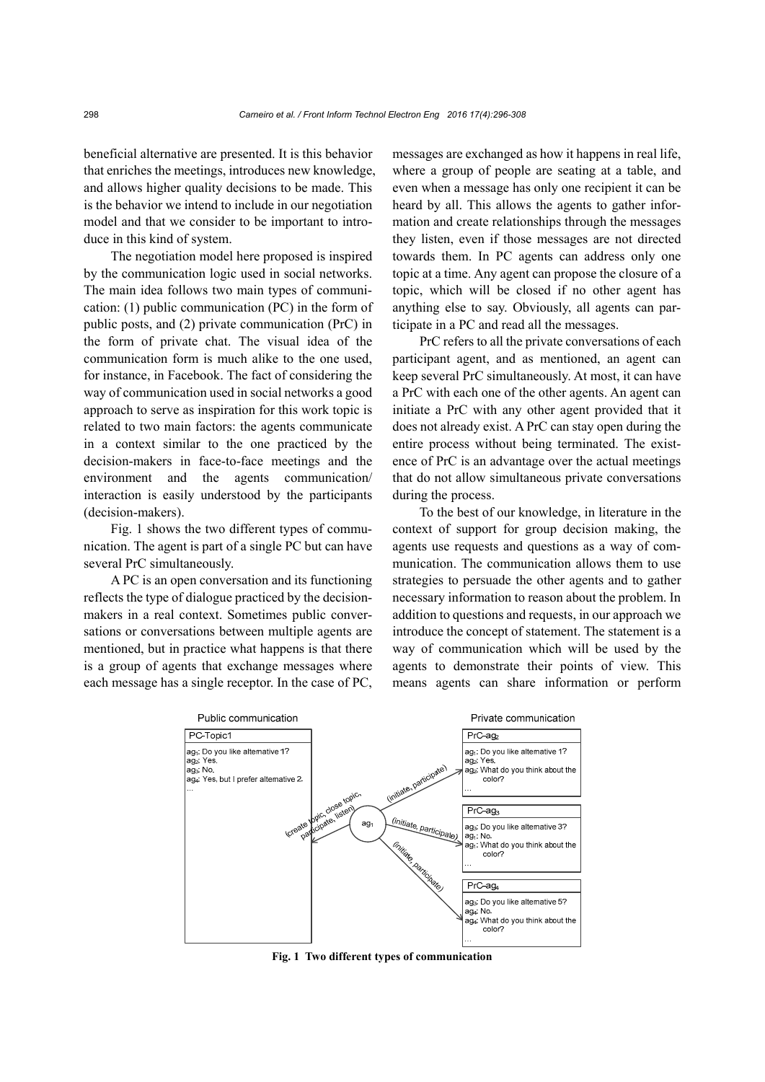beneficial alternative are presented. It is this behavior that enriches the meetings, introduces new knowledge, and allows higher quality decisions to be made. This is the behavior we intend to include in our negotiation model and that we consider to be important to introduce in this kind of system.

The negotiation model here proposed is inspired by the communication logic used in social networks. The main idea follows two main types of communication: (1) public communication (PC) in the form of public posts, and (2) private communication (PrC) in the form of private chat. The visual idea of the communication form is much alike to the one used, for instance, in Facebook. The fact of considering the way of communication used in social networks a good approach to serve as inspiration for this work topic is related to two main factors: the agents communicate in a context similar to the one practiced by the decision-makers in face-to-face meetings and the environment and the agents communication/ interaction is easily understood by the participants (decision-makers).

Fig. 1 shows the two different types of communication. The agent is part of a single PC but can have several PrC simultaneously.

A PC is an open conversation and its functioning reflects the type of dialogue practiced by the decisionmakers in a real context. Sometimes public conversations or conversations between multiple agents are mentioned, but in practice what happens is that there is a group of agents that exchange messages where each message has a single receptor. In the case of PC,

messages are exchanged as how it happens in real life, where a group of people are seating at a table, and even when a message has only one recipient it can be heard by all. This allows the agents to gather information and create relationships through the messages they listen, even if those messages are not directed towards them. In PC agents can address only one topic at a time. Any agent can propose the closure of a topic, which will be closed if no other agent has anything else to say. Obviously, all agents can participate in a PC and read all the messages.

PrC refers to all the private conversations of each participant agent, and as mentioned, an agent can keep several PrC simultaneously. At most, it can have a PrC with each one of the other agents. An agent can initiate a PrC with any other agent provided that it does not already exist. A PrC can stay open during the entire process without being terminated. The existence of PrC is an advantage over the actual meetings that do not allow simultaneous private conversations during the process.

To the best of our knowledge, in literature in the context of support for group decision making, the agents use requests and questions as a way of communication. The communication allows them to use strategies to persuade the other agents and to gather necessary information to reason about the problem. In addition to questions and requests, in our approach we introduce the concept of statement. The statement is a way of communication which will be used by the agents to demonstrate their points of view. This means agents can share information or perform



**Fig. 1 Two different types of communication**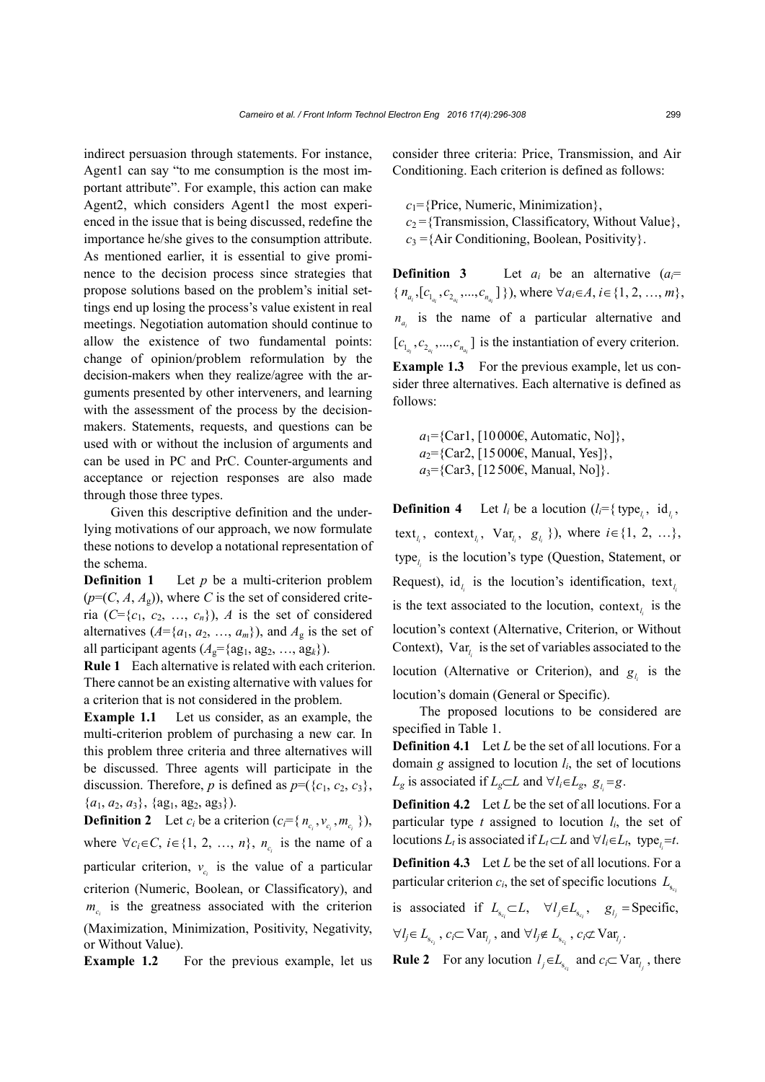indirect persuasion through statements. For instance, Agent1 can say "to me consumption is the most important attribute". For example, this action can make Agent2, which considers Agent1 the most experienced in the issue that is being discussed, redefine the importance he/she gives to the consumption attribute. As mentioned earlier, it is essential to give prominence to the decision process since strategies that propose solutions based on the problem's initial settings end up losing the process's value existent in real meetings. Negotiation automation should continue to allow the existence of two fundamental points: change of opinion/problem reformulation by the decision-makers when they realize/agree with the arguments presented by other interveners, and learning with the assessment of the process by the decisionmakers. Statements, requests, and questions can be used with or without the inclusion of arguments and can be used in PC and PrC. Counter-arguments and acceptance or rejection responses are also made through those three types.

Given this descriptive definition and the underlying motivations of our approach, we now formulate these notions to develop a notational representation of the schema.

**Definition 1** Let *p* be a multi-criterion problem  $(p=(C, A, A_g))$ , where *C* is the set of considered criteria  $(C=\{c_1, c_2, ..., c_n\})$ , *A* is the set of considered alternatives  $(A = \{a_1, a_2, ..., a_m\})$ , and  $A_g$  is the set of all participant agents  $(A_g = \{ag_1, ag_2, ..., ag_k\})$ .

**Rule 1** Each alternative is related with each criterion. There cannot be an existing alternative with values for a criterion that is not considered in the problem.

**Example 1.1** Let us consider, as an example, the multi-criterion problem of purchasing a new car. In this problem three criteria and three alternatives will be discussed. Three agents will participate in the discussion. Therefore, *p* is defined as  $p=(\{c_1, c_2, c_3\},\)$  ${a_1, a_2, a_3}, {ag_1, ag_2, ag_3}.$ 

**Definition 2** Let  $c_i$  be a criterion  $(c_i = \{n_{c_i}, v_{c_i}, m_{c_i}\})$ , where  $\forall c_i \in C$ ,  $i \in \{1, 2, ..., n\}$ ,  $n_{c_i}$  is the name of a particular criterion,  $v_c$  is the value of a particular criterion (Numeric, Boolean, or Classificatory), and  $m_c$  is the greatness associated with the criterion (Maximization, Minimization, Positivity, Negativity, or Without Value).

**Example 1.2** For the previous example, let us

consider three criteria: Price, Transmission, and Air Conditioning. Each criterion is defined as follows:

 $c_1$ ={Price, Numeric, Minimization},

- $c_2$  = {Transmission, Classificatory, Without Value},
- $c_3 = \{Air Conditioning, Boolean, Positivity\}.$

**Definition 3** Let  $a_i$  be an alternative  $(a_i =$  $\{n_{a_i}, [c_{1_{a_i}}, c_{2_{a_i}}, ..., c_{n_{a_i}}]\}\}$ , where  $\forall a_i \in \{1, 2, ..., m\},\$  $n_a$  is the name of a particular alternative and  $[c_{1_{n}}, c_{2_{n}}, ..., c_{n_{n}}]$  is the instantiation of every criterion. **Example 1.3** For the previous example, let us con-

sider three alternatives. Each alternative is defined as follows:

 $a_1 = \{ \text{Carl}, \{ 10000\epsilon, \text{Automatic}, \text{No} \} \},$  $a_2 = \{Car2, [15000 \epsilon, Manual, Yes] \},\$  $a_3$ ={Car3, [12500€, Manual, No]}.

**Definition 4** Let  $l_i$  be a locution ( $l_i = \{ \text{type}_i, \text{ id}_i, \}$ text<sub>*i<sub>i</sub>*</sub>, context<sub>*i<sub>i</sub>*</sub>, Var<sub>*i<sub>i</sub>*</sub>, *g<sub><i>i<sub>i</sub>*</sub> }), where *i*  $\in$  {1, 2, …}, type<sub>l</sub> is the locution's type (Question, Statement, or Request),  $id_l$  is the locution's identification, text<sub>*i*</sub> is the text associated to the locution, context<sub> $i$ </sub> is the locution's context (Alternative, Criterion, or Without Context),  $Var_{l_i}$  is the set of variables associated to the locution (Alternative or Criterion), and  $g_l$  is the locution's domain (General or Specific).

The proposed locutions to be considered are specified in Table 1.

**Definition 4.1** Let *L* be the set of all locutions. For a domain  $g$  assigned to locution  $l_i$ , the set of locutions *L<sub>g</sub>* is associated if  $L_g \subset L$  and  $\forall l_i \in L_g$ ,  $g_l = g$ .

**Definition 4.2** Let *L* be the set of all locutions. For a particular type  $t$  assigned to locution  $l_i$ , the set of locutions  $L_t$  is associated if  $L_t \subset L$  and  $\forall l_i \in L_t$ , type<sub>l</sub> = *t*.

**Definition 4.3** Let *L* be the set of all locutions. For a particular criterion  $c_i$ , the set of specific locutions  $L_{s_c}$ 

is associated if  $L_{s_{c_i}} \subset L$ ,  $\forall l_j \in L_{s_{c_i}}$ ,  $g_{l_j} = \text{Specific}$ ,  $\forall l_j \in L_{s_{c_i}}$ ,  $c_i \subset \text{Var}_{l_j}$ , and  $\forall l_j \notin L_{s_{c_i}}$ ,  $c_i \not\subset \text{Var}_{l_j}$ .

**Rule 2** For any locution  $l_i \in L_{s_i}$  and  $c_i \subset \text{Var}_{l_i}$ , there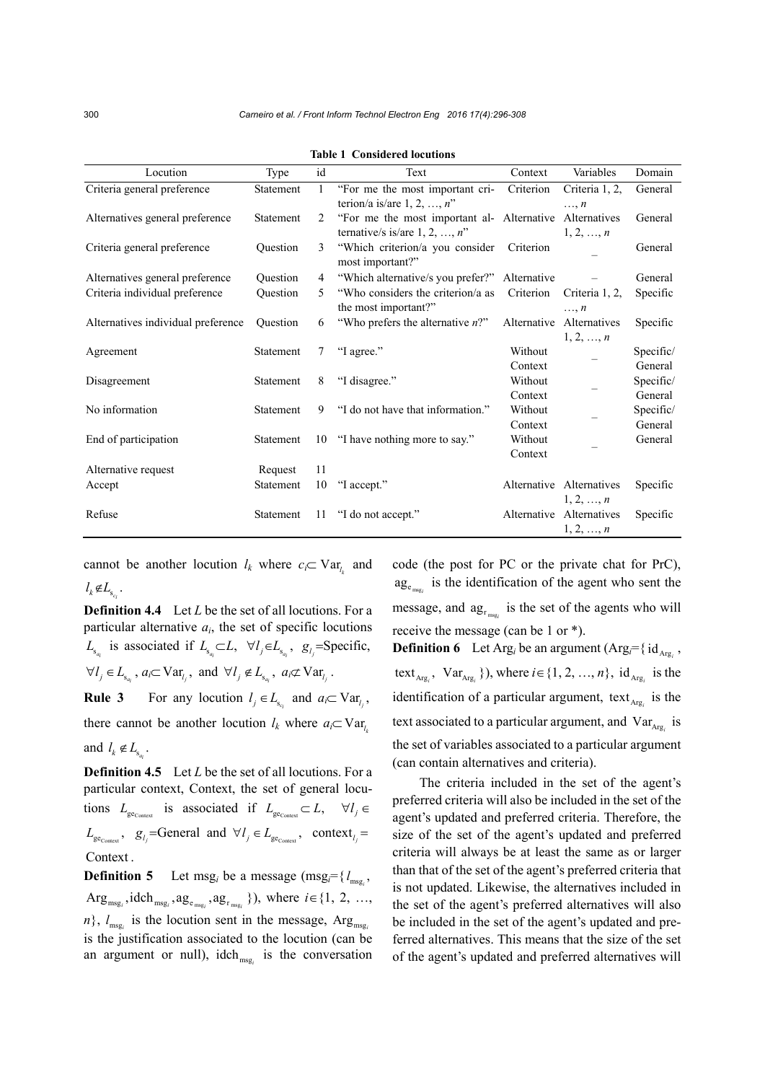| Locution                           | Type      | id | Text                                                                                        | Context            | Variables                                 | Domain               |
|------------------------------------|-----------|----|---------------------------------------------------------------------------------------------|--------------------|-------------------------------------------|----------------------|
| Criteria general preference        | Statement | 1  | "For me the most important cri-<br>terion/a is/are $1, 2, , n$ "                            | Criterion          | Criteria 1, 2,<br>$\ldots$ , $\mathbb{R}$ | General              |
| Alternatives general preference    | Statement | 2  | "For me the most important al- Alternative Alternatives<br>ternative/s is/are $1, 2, , n$ " |                    | 1, 2, , n                                 | General              |
| Criteria general preference        | Question  | 3  | "Which criterion/a you consider<br>most important?"                                         | Criterion          |                                           | General              |
| Alternatives general preference    | Question  | 4  | "Which alternative/s you prefer?"                                                           | Alternative        |                                           | General              |
| Criteria individual preference     | Ouestion  | 5  | "Who considers the criterion/a as<br>the most important?"                                   | Criterion          | Criteria 1, 2,<br>$\ldots$ , $\mathbb{R}$ | Specific             |
| Alternatives individual preference | Ouestion  | 6  | "Who prefers the alternative $n$ ?"                                                         |                    | Alternative Alternatives<br>1, 2, , n     | Specific             |
| Agreement                          | Statement | 7  | "I agree."                                                                                  | Without<br>Context |                                           | Specific/<br>General |
| Disagreement                       | Statement | 8  | "I disagree."                                                                               | Without<br>Context |                                           | Specific/<br>General |
| No information                     | Statement | 9  | "I do not have that information."                                                           | Without<br>Context |                                           | Specific/<br>General |
| End of participation               | Statement | 10 | "I have nothing more to say."                                                               | Without<br>Context |                                           | General              |
| Alternative request                | Request   | 11 |                                                                                             |                    |                                           |                      |
| Accept                             | Statement | 10 | "I accept."                                                                                 |                    | Alternative Alternatives<br>1, 2, , n     | Specific             |
| Refuse                             | Statement | 11 | "I do not accept."                                                                          |                    | Alternative Alternatives<br>1, 2, , n     | Specific             |

**Table 1 Considered locutions** 

cannot be another locution  $l_k$  where  $c_i \subset \text{Var}_k$  and  $l_k \notin L_{s_k}$ .

**Definition 4.4** Let *L* be the set of all locutions. For a particular alternative  $a_i$ , the set of specific locutions  $L_{s_{a_i}}$  is associated if  $L_{s_{a_i}} \subset L$ ,  $\forall l_j \in L_{s_{a_i}}$ ,  $g_{l_j}$ =Specific,  $\forall l_j \in L_{s_{a_i}}$ ,  $a_i \subset \text{Var}_{l_j}$ , and  $\forall l_j \notin L_{s_{a_i}}$ ,  $a_i \not\subset \text{Var}_{l_j}$ . **Rule 3** For any locution  $l_i \in L_s$  and  $a_i \subset \text{Var}_l$ , there cannot be another locution  $l_k$  where  $a_i \subset \text{Var}_k$ 

and  $l_k \notin L_{s_{a_i}}$ .

**Definition 4.5** Let *L* be the set of all locutions. For a particular context, Context, the set of general locutions  $L_{ge_{\text{co}-\text{short}}}$  is associated if  $L_{ge_{\text{Co}-\text{short}}} \subset L$ ,  $\forall l_j \in$  $L_{\text{ge_{\text{Context}}}}, \quad g_{l_j}$ =General and  $\forall l_j \in L_{\text{ge_{\text{Context}}}}, \quad \text{context}_{l_j}$ Context .

**Definition 5** Let msg<sub>*i*</sub> be a message (msg<sub>*i*</sub>={ $l_{\text{msg}_i}$ ,  $Arg_{msg_i}$ ,  $\text{idch}_{msg_i}$ ,  $ag_{e_{msg_i}}$ ,  $ag_{r_{msg_i}}$  }), where  $i \in \{1, 2, ...,$  $n$ ,  $l_{\text{mes}}$  is the locution sent in the message, Arg<sub>msg</sub> is the justification associated to the locution (can be an argument or null), idch $_{\text{msg}_i}$  is the conversation code (the post for PC or the private chat for PrC),  $\mathbf{a} \mathbf{g}_{e_{\text{msg}}}$  is the identification of the agent who sent the message, and  $\mathbf{a}_{\mathbf{g}_{r_{\text{msg}_i}}}$  is the set of the agents who will receive the message (can be 1 or \*).

**Definition 6** Let Arg<sub>*i*</sub> be an argument (Arg<sub>*i*</sub></sub>={ $id_{Arg_i}$ , text<sub> $A_{\text{reg}_i}$ </sub>,  $\text{Var}_{A_{\text{reg}_i}}$  }), where  $i \in \{1, 2, ..., n\}$ ,  $\text{id}_{A_{\text{reg}_i}}$  is the identification of a particular argument,  $texttext{text}_{\text{Arg}_i}$  is the text associated to a particular argument, and Var<sub>Arg<sub>i</sub></sub> is the set of variables associated to a particular argument (can contain alternatives and criteria).

The criteria included in the set of the agent's preferred criteria will also be included in the set of the agent's updated and preferred criteria. Therefore, the size of the set of the agent's updated and preferred criteria will always be at least the same as or larger than that of the set of the agent's preferred criteria that is not updated. Likewise, the alternatives included in the set of the agent's preferred alternatives will also be included in the set of the agent's updated and preferred alternatives. This means that the size of the set of the agent's updated and preferred alternatives will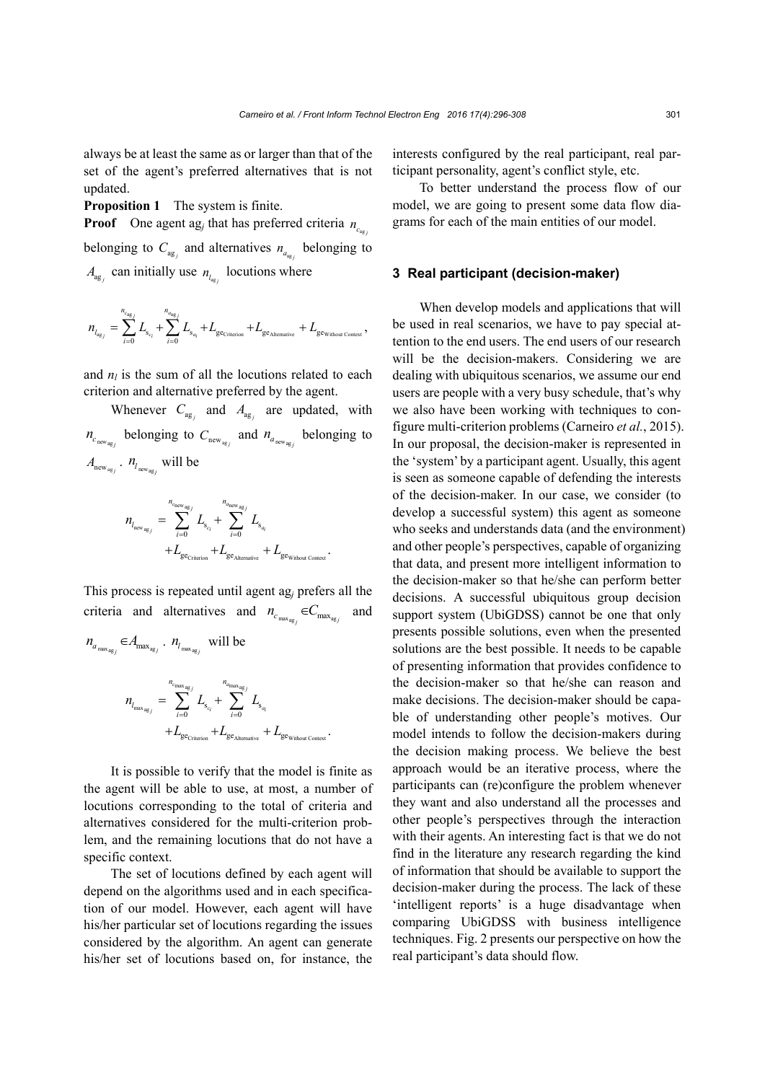always be at least the same as or larger than that of the set of the agent's preferred alternatives that is not updated.

**Proposition 1** The system is finite.

**Proof** One agent ag<sub>*j*</sub> that has preferred criteria  $n_{c}$ belonging to  $C_{\text{ag}}$  and alternatives  $n_{a_{\text{ag}}}$  belonging to  $A_{\mathbf{a}\mathbf{g}}$  can initially use  $n_{l_{\mathbf{a}\mathbf{g}}}$  locutions where

$$
\label{eq:1} \mathbf{m}_{l_{\text{agg}}} = \sum_{i=0}^{n_{\text{cag}}}\mathbf{L}_{\text{s}_{c_i}} + \sum_{i=0}^{n_{\text{cag}}}\mathbf{L}_{\text{s}_{a_i}} + \mathbf{L}_{\text{ge}_{\text{Criterion}}} + \mathbf{L}_{\text{ge}_{\text{Alternative}}} + \mathbf{L}_{\text{ge}_{\text{Without Constant}}},
$$

and  $n_l$  is the sum of all the locutions related to each criterion and alternative preferred by the agent.

Whenever  $C_{\text{ag}}$  and  $A_{\text{ag}}$  are updated, with  $n_{c_{\text{new}_{\text{agg}}}}$  belonging to  $C_{\text{new}_{\text{agg}}}$  and  $n_{a_{\text{new}_{\text{agg}}}}$  belonging to  $A_{\text{new}_{\text{ag}_j}}$ .  $n_{l_{\text{new}_{\text{ag}_j}}}$  will be

$$
\begin{aligned} \mathbf{n}_{l_\text{new}}&_{{}_{\text{age}}}=\sum_{i=0}^{n_{c_\text{new}}}\mathbf{L}_{\text{s}_{{}_{\text{c}_i}}}+\sum_{i=0}^{n_{a_\text{new}}}\mathbf{L}_{\text{s}_{{}_{\text{eq}}}}\\ &+\mathbf{L}_{\text{ge}}&_{\text{Criterion}}+\mathbf{L}_{\text{ge}}&+\mathbf{L}_{\text{ge}}&_{\text{whout context}}. \end{aligned}
$$

This process is repeated until agent ag*j* prefers all the criteria and alternatives and  $n_{c_{\max_{\text{max}}} \in C_{\max_{\text{max}}}$  and

$$
n_{a_{\max_{\text{agg}}}} \in A_{\max_{\text{agg}}}, \quad n_{l_{\max_{\text{agg}}}} \text{ will be}
$$
\n
$$
n_{l_{\max_{\text{agg}}}} = \sum_{i=0}^{n_{c_{\max_{\text{agg}}}}} L_{s_{c_i}} + \sum_{i=0}^{n_{a_{\max_{\text{agg}}}}} L_{s_{a_i}} + L_{g_{c_{\text{without Constant}}}} + L_{g_{c_{\text{Without Constant}}}}.
$$

It is possible to verify that the model is finite as the agent will be able to use, at most, a number of locutions corresponding to the total of criteria and alternatives considered for the multi-criterion problem, and the remaining locutions that do not have a specific context.

The set of locutions defined by each agent will depend on the algorithms used and in each specification of our model. However, each agent will have his/her particular set of locutions regarding the issues considered by the algorithm. An agent can generate his/her set of locutions based on, for instance, the

interests configured by the real participant, real participant personality, agent's conflict style, etc.

To better understand the process flow of our model, we are going to present some data flow diagrams for each of the main entities of our model.

#### **3 Real participant (decision-maker)**

When develop models and applications that will be used in real scenarios, we have to pay special attention to the end users. The end users of our research will be the decision-makers. Considering we are dealing with ubiquitous scenarios, we assume our end users are people with a very busy schedule, that's why we also have been working with techniques to configure multi-criterion problems (Carneiro *et al.*, 2015). In our proposal, the decision-maker is represented in the 'system' by a participant agent. Usually, this agent is seen as someone capable of defending the interests of the decision-maker. In our case, we consider (to develop a successful system) this agent as someone who seeks and understands data (and the environment) and other people's perspectives, capable of organizing that data, and present more intelligent information to the decision-maker so that he/she can perform better decisions. A successful ubiquitous group decision support system (UbiGDSS) cannot be one that only presents possible solutions, even when the presented solutions are the best possible. It needs to be capable of presenting information that provides confidence to the decision-maker so that he/she can reason and make decisions. The decision-maker should be capable of understanding other people's motives. Our model intends to follow the decision-makers during the decision making process. We believe the best approach would be an iterative process, where the participants can (re)configure the problem whenever they want and also understand all the processes and other people's perspectives through the interaction with their agents. An interesting fact is that we do not find in the literature any research regarding the kind of information that should be available to support the decision-maker during the process. The lack of these 'intelligent reports' is a huge disadvantage when comparing UbiGDSS with business intelligence techniques. Fig. 2 presents our perspective on how the real participant's data should flow.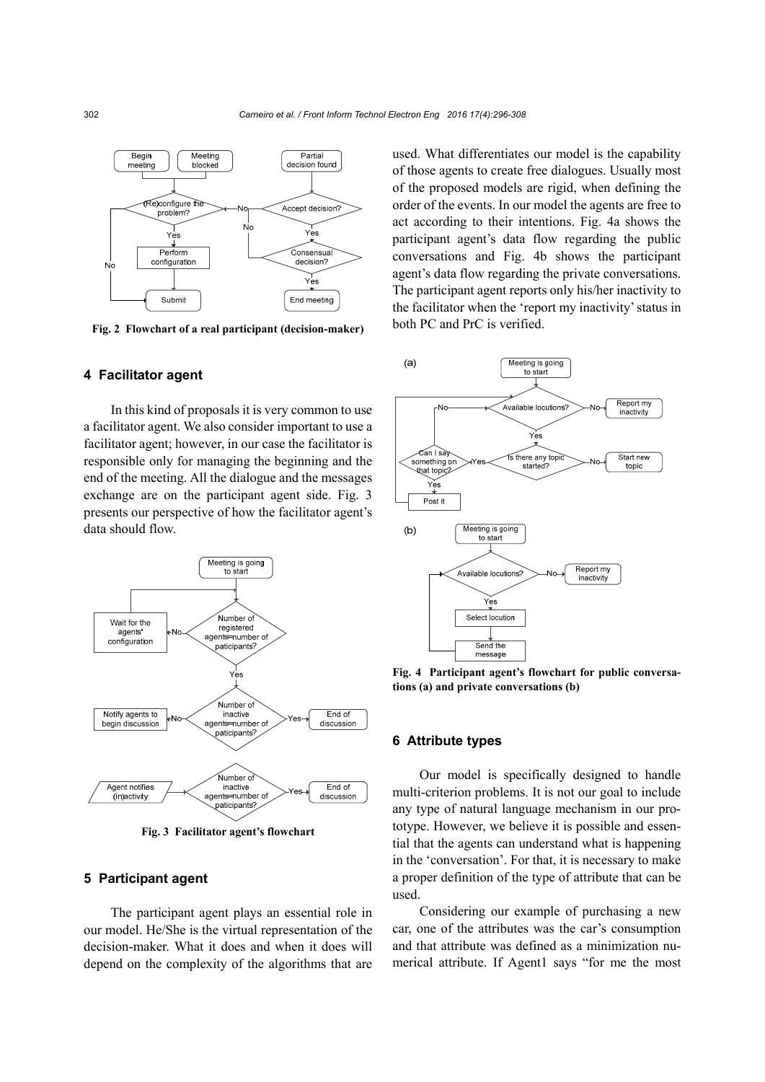

**Fig. 2 Flowchart of a real participant (decision-maker)** 

#### **4 Facilitator agent**

In this kind of proposals it is very common to use a facilitator agent. We also consider important to use a facilitator agent; however, in our case the facilitator is responsible only for managing the beginning and the end of the meeting. All the dialogue and the messages exchange are on the participant agent side. Fig. 3 presents our perspective of how the facilitator agent's data should flow.



**Fig. 3 Facilitator agent's flowchart** 

#### **5 Participant agent**

The participant agent plays an essential role in our model. He/She is the virtual representation of the decision-maker. What it does and when it does will depend on the complexity of the algorithms that are

used. What differentiates our model is the capability of those agents to create free dialogues. Usually most of the proposed models are rigid, when defining the order of the events. In our model the agents are free to act according to their intentions. Fig. 4a shows the participant agent's data flow regarding the public conversations and Fig. 4b shows the participant agent's data flow regarding the private conversations. The participant agent reports only his/her inactivity to the facilitator when the 'report my inactivity' status in both PC and PrC is verified.



**Fig. 4 Participant agent's flowchart for public conversations (a) and private conversations (b)** 

# **6 Attribute types**

Our model is specifically designed to handle multi-criterion problems. It is not our goal to include any type of natural language mechanism in our prototype. However, we believe it is possible and essential that the agents can understand what is happening in the 'conversation'. For that, it is necessary to make a proper definition of the type of attribute that can be used.

Considering our example of purchasing a new car, one of the attributes was the car's consumption and that attribute was defined as a minimization numerical attribute. If Agent1 says "for me the most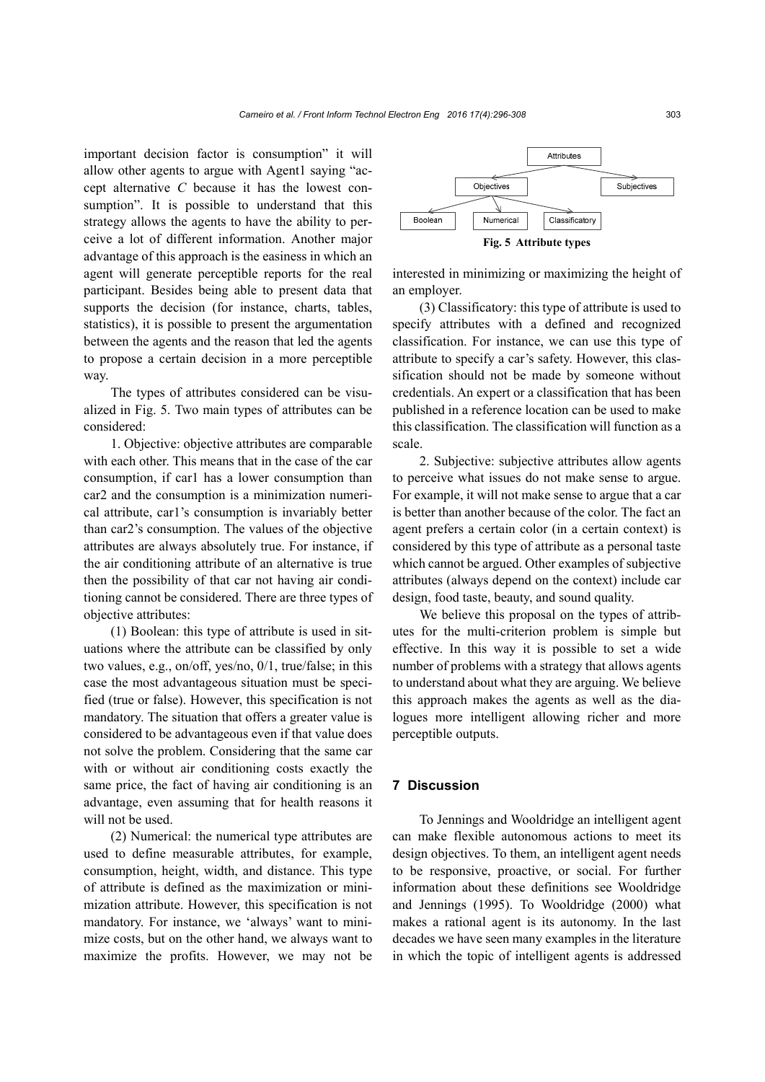important decision factor is consumption" it will allow other agents to argue with Agent1 saying "accept alternative *C* because it has the lowest consumption". It is possible to understand that this strategy allows the agents to have the ability to perceive a lot of different information. Another major advantage of this approach is the easiness in which an agent will generate perceptible reports for the real participant. Besides being able to present data that supports the decision (for instance, charts, tables, statistics), it is possible to present the argumentation between the agents and the reason that led the agents to propose a certain decision in a more perceptible way.

The types of attributes considered can be visualized in Fig. 5. Two main types of attributes can be considered:

1. Objective: objective attributes are comparable with each other. This means that in the case of the car consumption, if car1 has a lower consumption than car2 and the consumption is a minimization numerical attribute, car1's consumption is invariably better than car2's consumption. The values of the objective attributes are always absolutely true. For instance, if the air conditioning attribute of an alternative is true then the possibility of that car not having air conditioning cannot be considered. There are three types of objective attributes:

(1) Boolean: this type of attribute is used in situations where the attribute can be classified by only two values, e.g., on/off, yes/no, 0/1, true/false; in this case the most advantageous situation must be specified (true or false). However, this specification is not mandatory. The situation that offers a greater value is considered to be advantageous even if that value does not solve the problem. Considering that the same car with or without air conditioning costs exactly the same price, the fact of having air conditioning is an advantage, even assuming that for health reasons it will not be used.

(2) Numerical: the numerical type attributes are used to define measurable attributes, for example, consumption, height, width, and distance. This type of attribute is defined as the maximization or minimization attribute. However, this specification is not mandatory. For instance, we 'always' want to minimize costs, but on the other hand, we always want to maximize the profits. However, we may not be



interested in minimizing or maximizing the height of an employer.

(3) Classificatory: this type of attribute is used to specify attributes with a defined and recognized classification. For instance, we can use this type of attribute to specify a car's safety. However, this classification should not be made by someone without credentials. An expert or a classification that has been published in a reference location can be used to make this classification. The classification will function as a scale.

2. Subjective: subjective attributes allow agents to perceive what issues do not make sense to argue. For example, it will not make sense to argue that a car is better than another because of the color. The fact an agent prefers a certain color (in a certain context) is considered by this type of attribute as a personal taste which cannot be argued. Other examples of subjective attributes (always depend on the context) include car design, food taste, beauty, and sound quality.

We believe this proposal on the types of attributes for the multi-criterion problem is simple but effective. In this way it is possible to set a wide number of problems with a strategy that allows agents to understand about what they are arguing. We believe this approach makes the agents as well as the dialogues more intelligent allowing richer and more perceptible outputs.

# **7 Discussion**

To Jennings and Wooldridge an intelligent agent can make flexible autonomous actions to meet its design objectives. To them, an intelligent agent needs to be responsive, proactive, or social. For further information about these definitions see Wooldridge and Jennings (1995). To Wooldridge (2000) what makes a rational agent is its autonomy. In the last decades we have seen many examples in the literature in which the topic of intelligent agents is addressed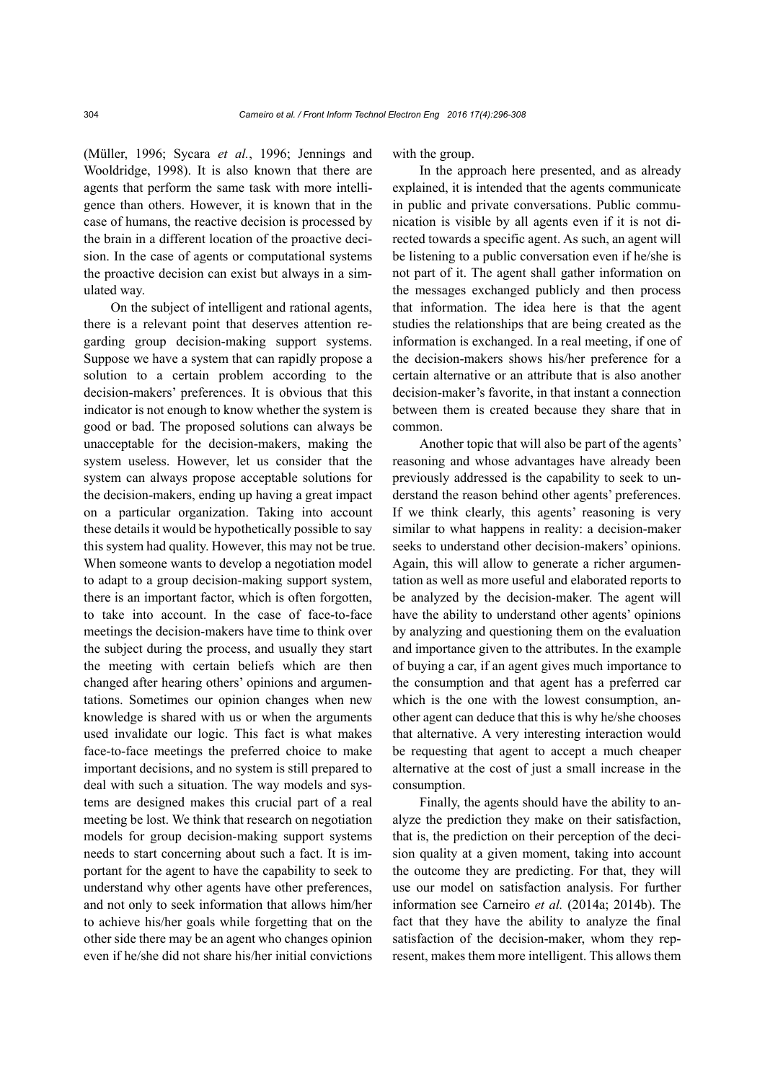(Müller, 1996; Sycara *et al.*, 1996; Jennings and Wooldridge, 1998). It is also known that there are agents that perform the same task with more intelligence than others. However, it is known that in the case of humans, the reactive decision is processed by the brain in a different location of the proactive decision. In the case of agents or computational systems the proactive decision can exist but always in a simulated way.

On the subject of intelligent and rational agents, there is a relevant point that deserves attention regarding group decision-making support systems. Suppose we have a system that can rapidly propose a solution to a certain problem according to the decision-makers' preferences. It is obvious that this indicator is not enough to know whether the system is good or bad. The proposed solutions can always be unacceptable for the decision-makers, making the system useless. However, let us consider that the system can always propose acceptable solutions for the decision-makers, ending up having a great impact on a particular organization. Taking into account these details it would be hypothetically possible to say this system had quality. However, this may not be true. When someone wants to develop a negotiation model to adapt to a group decision-making support system, there is an important factor, which is often forgotten, to take into account. In the case of face-to-face meetings the decision-makers have time to think over the subject during the process, and usually they start the meeting with certain beliefs which are then changed after hearing others' opinions and argumentations. Sometimes our opinion changes when new knowledge is shared with us or when the arguments used invalidate our logic. This fact is what makes face-to-face meetings the preferred choice to make important decisions, and no system is still prepared to deal with such a situation. The way models and systems are designed makes this crucial part of a real meeting be lost. We think that research on negotiation models for group decision-making support systems needs to start concerning about such a fact. It is important for the agent to have the capability to seek to understand why other agents have other preferences, and not only to seek information that allows him/her to achieve his/her goals while forgetting that on the other side there may be an agent who changes opinion even if he/she did not share his/her initial convictions

with the group.

In the approach here presented, and as already explained, it is intended that the agents communicate in public and private conversations. Public communication is visible by all agents even if it is not directed towards a specific agent. As such, an agent will be listening to a public conversation even if he/she is not part of it. The agent shall gather information on the messages exchanged publicly and then process that information. The idea here is that the agent studies the relationships that are being created as the information is exchanged. In a real meeting, if one of the decision-makers shows his/her preference for a certain alternative or an attribute that is also another decision-maker's favorite, in that instant a connection between them is created because they share that in common.

Another topic that will also be part of the agents' reasoning and whose advantages have already been previously addressed is the capability to seek to understand the reason behind other agents' preferences. If we think clearly, this agents' reasoning is very similar to what happens in reality: a decision-maker seeks to understand other decision-makers' opinions. Again, this will allow to generate a richer argumentation as well as more useful and elaborated reports to be analyzed by the decision-maker. The agent will have the ability to understand other agents' opinions by analyzing and questioning them on the evaluation and importance given to the attributes. In the example of buying a car, if an agent gives much importance to the consumption and that agent has a preferred car which is the one with the lowest consumption, another agent can deduce that this is why he/she chooses that alternative. A very interesting interaction would be requesting that agent to accept a much cheaper alternative at the cost of just a small increase in the consumption.

Finally, the agents should have the ability to analyze the prediction they make on their satisfaction, that is, the prediction on their perception of the decision quality at a given moment, taking into account the outcome they are predicting. For that, they will use our model on satisfaction analysis. For further information see Carneiro *et al.* (2014a; 2014b). The fact that they have the ability to analyze the final satisfaction of the decision-maker, whom they represent, makes them more intelligent. This allows them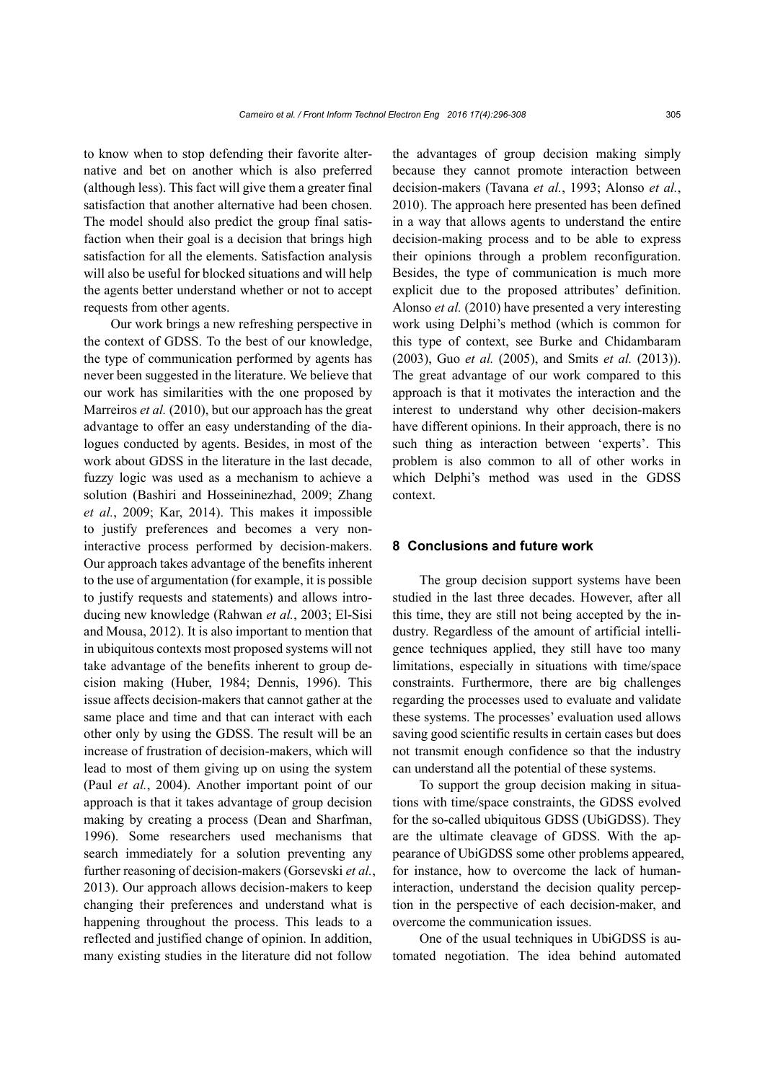to know when to stop defending their favorite alternative and bet on another which is also preferred (although less). This fact will give them a greater final satisfaction that another alternative had been chosen. The model should also predict the group final satisfaction when their goal is a decision that brings high satisfaction for all the elements. Satisfaction analysis will also be useful for blocked situations and will help the agents better understand whether or not to accept requests from other agents.

Our work brings a new refreshing perspective in the context of GDSS. To the best of our knowledge, the type of communication performed by agents has never been suggested in the literature. We believe that our work has similarities with the one proposed by Marreiros *et al.* (2010), but our approach has the great advantage to offer an easy understanding of the dialogues conducted by agents. Besides, in most of the work about GDSS in the literature in the last decade, fuzzy logic was used as a mechanism to achieve a solution (Bashiri and Hosseininezhad, 2009; Zhang *et al.*, 2009; Kar, 2014). This makes it impossible to justify preferences and becomes a very noninteractive process performed by decision-makers. Our approach takes advantage of the benefits inherent to the use of argumentation (for example, it is possible to justify requests and statements) and allows introducing new knowledge (Rahwan *et al.*, 2003; El-Sisi and Mousa, 2012). It is also important to mention that in ubiquitous contexts most proposed systems will not take advantage of the benefits inherent to group decision making (Huber, 1984; Dennis, 1996). This issue affects decision-makers that cannot gather at the same place and time and that can interact with each other only by using the GDSS. The result will be an increase of frustration of decision-makers, which will lead to most of them giving up on using the system (Paul *et al.*, 2004). Another important point of our approach is that it takes advantage of group decision making by creating a process (Dean and Sharfman, 1996). Some researchers used mechanisms that search immediately for a solution preventing any further reasoning of decision-makers (Gorsevski *et al.*, 2013). Our approach allows decision-makers to keep changing their preferences and understand what is happening throughout the process. This leads to a reflected and justified change of opinion. In addition, many existing studies in the literature did not follow

the advantages of group decision making simply because they cannot promote interaction between decision-makers (Tavana *et al.*, 1993; Alonso *et al.*, 2010). The approach here presented has been defined in a way that allows agents to understand the entire decision-making process and to be able to express their opinions through a problem reconfiguration. Besides, the type of communication is much more explicit due to the proposed attributes' definition. Alonso *et al.* (2010) have presented a very interesting work using Delphi's method (which is common for this type of context, see Burke and Chidambaram (2003), Guo *et al.* (2005), and Smits *et al.* (2013)). The great advantage of our work compared to this approach is that it motivates the interaction and the interest to understand why other decision-makers have different opinions. In their approach, there is no such thing as interaction between 'experts'. This problem is also common to all of other works in which Delphi's method was used in the GDSS context.

#### **8 Conclusions and future work**

The group decision support systems have been studied in the last three decades. However, after all this time, they are still not being accepted by the industry. Regardless of the amount of artificial intelligence techniques applied, they still have too many limitations, especially in situations with time/space constraints. Furthermore, there are big challenges regarding the processes used to evaluate and validate these systems. The processes' evaluation used allows saving good scientific results in certain cases but does not transmit enough confidence so that the industry can understand all the potential of these systems.

To support the group decision making in situations with time/space constraints, the GDSS evolved for the so-called ubiquitous GDSS (UbiGDSS). They are the ultimate cleavage of GDSS. With the appearance of UbiGDSS some other problems appeared, for instance, how to overcome the lack of humaninteraction, understand the decision quality perception in the perspective of each decision-maker, and overcome the communication issues.

One of the usual techniques in UbiGDSS is automated negotiation. The idea behind automated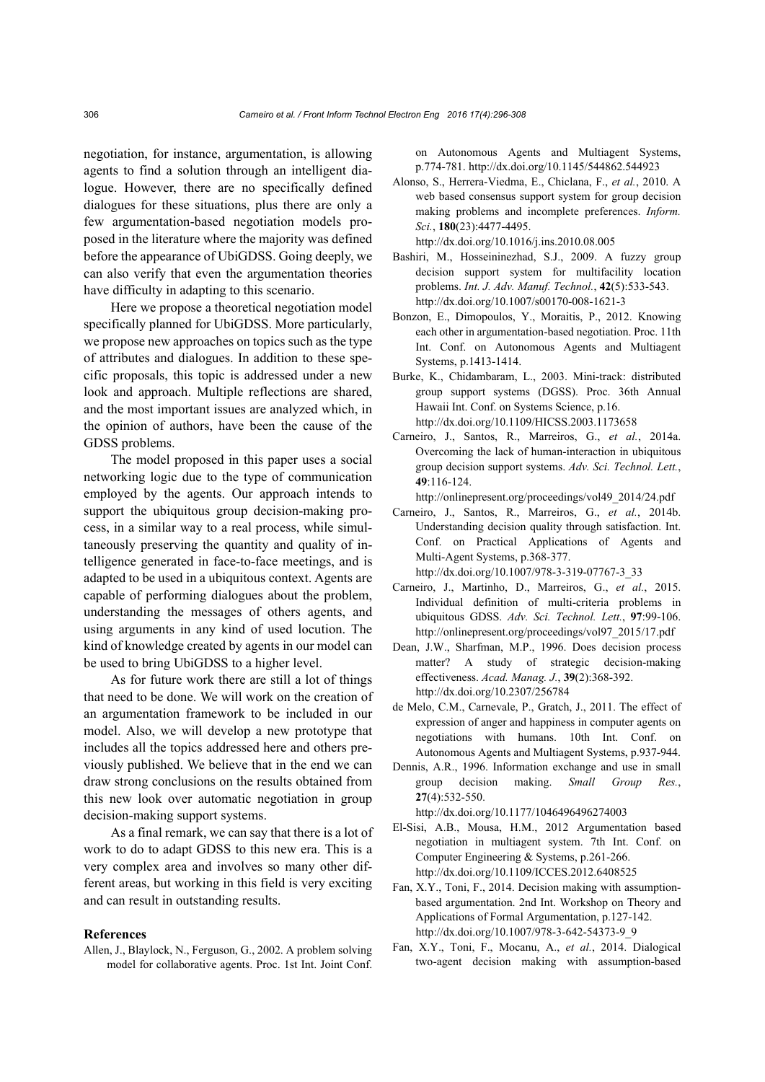negotiation, for instance, argumentation, is allowing agents to find a solution through an intelligent dialogue. However, there are no specifically defined dialogues for these situations, plus there are only a few argumentation-based negotiation models proposed in the literature where the majority was defined before the appearance of UbiGDSS. Going deeply, we can also verify that even the argumentation theories have difficulty in adapting to this scenario.

Here we propose a theoretical negotiation model specifically planned for UbiGDSS. More particularly, we propose new approaches on topics such as the type of attributes and dialogues. In addition to these specific proposals, this topic is addressed under a new look and approach. Multiple reflections are shared, and the most important issues are analyzed which, in the opinion of authors, have been the cause of the GDSS problems.

The model proposed in this paper uses a social networking logic due to the type of communication employed by the agents. Our approach intends to support the ubiquitous group decision-making process, in a similar way to a real process, while simultaneously preserving the quantity and quality of intelligence generated in face-to-face meetings, and is adapted to be used in a ubiquitous context. Agents are capable of performing dialogues about the problem, understanding the messages of others agents, and using arguments in any kind of used locution. The kind of knowledge created by agents in our model can be used to bring UbiGDSS to a higher level.

As for future work there are still a lot of things that need to be done. We will work on the creation of an argumentation framework to be included in our model. Also, we will develop a new prototype that includes all the topics addressed here and others previously published. We believe that in the end we can draw strong conclusions on the results obtained from this new look over automatic negotiation in group decision-making support systems.

As a final remark, we can say that there is a lot of work to do to adapt GDSS to this new era. This is a very complex area and involves so many other different areas, but working in this field is very exciting and can result in outstanding results.

# **References**

Allen, J., Blaylock, N., Ferguson, G., 2002. A problem solving model for collaborative agents. Proc. 1st Int. Joint Conf.

on Autonomous Agents and Multiagent Systems, p.774-781. http://dx.doi.org/10.1145/544862.544923

Alonso, S., Herrera-Viedma, E., Chiclana, F., *et al.*, 2010. A web based consensus support system for group decision making problems and incomplete preferences. *Inform. Sci.*, **180**(23):4477-4495.

http://dx.doi.org/10.1016/j.ins.2010.08.005

- Bashiri, M., Hosseininezhad, S.J., 2009. A fuzzy group decision support system for multifacility location problems. *Int. J. Adv. Manuf. Technol.*, **42**(5):533-543. http://dx.doi.org/10.1007/s00170-008-1621-3
- Bonzon, E., Dimopoulos, Y., Moraitis, P., 2012. Knowing each other in argumentation-based negotiation. Proc. 11th Int. Conf. on Autonomous Agents and Multiagent Systems, p.1413-1414.
- Burke, K., Chidambaram, L., 2003. Mini-track: distributed group support systems (DGSS). Proc. 36th Annual Hawaii Int. Conf. on Systems Science, p.16. http://dx.doi.org/10.1109/HICSS.2003.1173658
- Carneiro, J., Santos, R., Marreiros, G., *et al.*, 2014a. Overcoming the lack of human-interaction in ubiquitous group decision support systems. *Adv. Sci. Technol. Lett.*, **49**:116-124.

http://onlinepresent.org/proceedings/vol49\_2014/24.pdf

- Carneiro, J., Santos, R., Marreiros, G., *et al.*, 2014b. Understanding decision quality through satisfaction. Int. Conf. on Practical Applications of Agents and Multi-Agent Systems, p.368-377. http://dx.doi.org/10.1007/978-3-319-07767-3\_33
- Carneiro, J., Martinho, D., Marreiros, G., *et al.*, 2015.
- Individual definition of multi-criteria problems in ubiquitous GDSS. *Adv. Sci. Technol. Lett.*, **97**:99-106. http://onlinepresent.org/proceedings/vol97\_2015/17.pdf
- Dean, J.W., Sharfman, M.P., 1996. Does decision process matter? A study of strategic decision-making effectiveness. *Acad. Manag. J.*, **39**(2):368-392. http://dx.doi.org/10.2307/256784
- de Melo, C.M., Carnevale, P., Gratch, J., 2011. The effect of expression of anger and happiness in computer agents on negotiations with humans. 10th Int. Conf. on Autonomous Agents and Multiagent Systems, p.937-944.
- Dennis, A.R., 1996. Information exchange and use in small group decision making. *Small Group Res.*, **27**(4):532-550.
- http://dx.doi.org/10.1177/1046496496274003 El-Sisi, A.B., Mousa, H.M., 2012 Argumentation based negotiation in multiagent system. 7th Int. Conf. on
	- Computer Engineering & Systems, p.261-266. http://dx.doi.org/10.1109/ICCES.2012.6408525
- Fan, X.Y., Toni, F., 2014. Decision making with assumptionbased argumentation. 2nd Int. Workshop on Theory and Applications of Formal Argumentation, p.127-142. http://dx.doi.org/10.1007/978-3-642-54373-9\_9
- Fan, X.Y., Toni, F., Mocanu, A., *et al.*, 2014. Dialogical two-agent decision making with assumption-based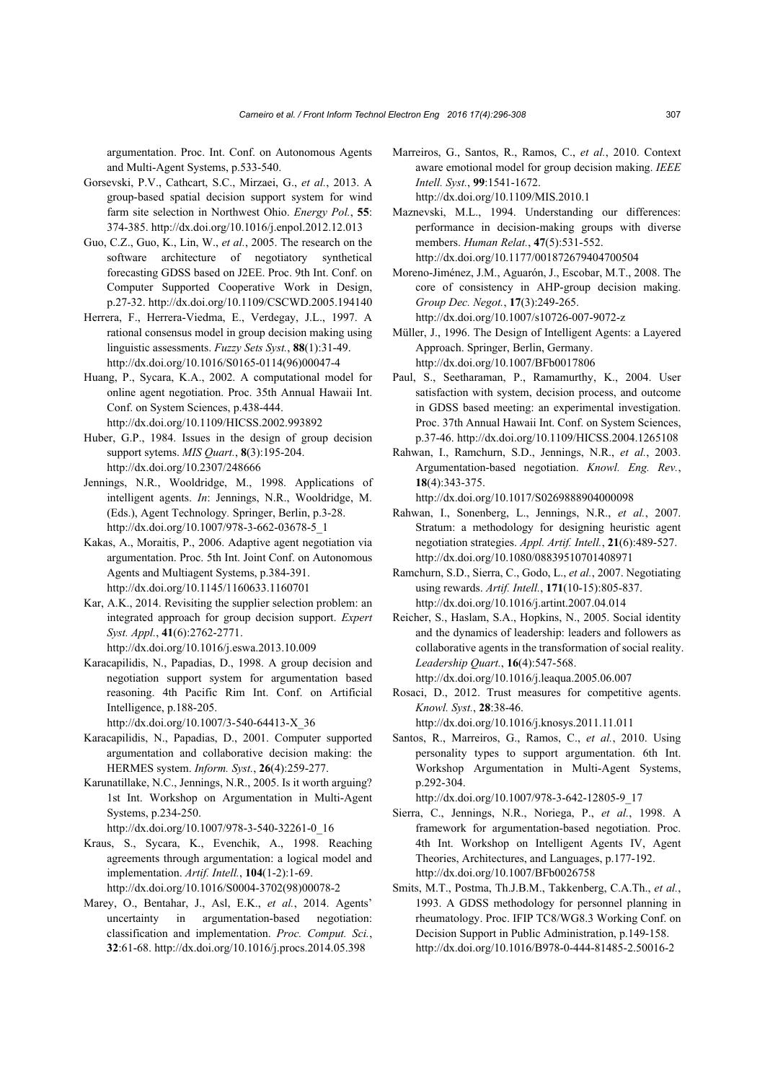argumentation. Proc. Int. Conf. on Autonomous Agents and Multi-Agent Systems, p.533-540.

- Gorsevski, P.V., Cathcart, S.C., Mirzaei, G., *et al.*, 2013. A group-based spatial decision support system for wind farm site selection in Northwest Ohio. *Energy Pol.*, **55**: 374-385. http://dx.doi.org/10.1016/j.enpol.2012.12.013
- Guo, C.Z., Guo, K., Lin, W., *et al.*, 2005. The research on the software architecture of negotiatory synthetical forecasting GDSS based on J2EE. Proc. 9th Int. Conf. on Computer Supported Cooperative Work in Design, p.27-32. http://dx.doi.org/10.1109/CSCWD.2005.194140
- Herrera, F., Herrera-Viedma, E., Verdegay, J.L., 1997. A rational consensus model in group decision making using linguistic assessments. *Fuzzy Sets Syst.*, **88**(1):31-49. http://dx.doi.org/10.1016/S0165-0114(96)00047-4
- Huang, P., Sycara, K.A., 2002. A computational model for online agent negotiation. Proc. 35th Annual Hawaii Int. Conf. on System Sciences, p.438-444. http://dx.doi.org/10.1109/HICSS.2002.993892
- Huber, G.P., 1984. Issues in the design of group decision support sytems. *MIS Quart.*, **8**(3):195-204. http://dx.doi.org/10.2307/248666
- Jennings, N.R., Wooldridge, M., 1998. Applications of intelligent agents. *In*: Jennings, N.R., Wooldridge, M. (Eds.), Agent Technology*.* Springer, Berlin, p.3-28. http://dx.doi.org/10.1007/978-3-662-03678-5\_1
- Kakas, A., Moraitis, P., 2006. Adaptive agent negotiation via argumentation. Proc. 5th Int. Joint Conf. on Autonomous Agents and Multiagent Systems, p.384-391. http://dx.doi.org/10.1145/1160633.1160701
- Kar, A.K., 2014. Revisiting the supplier selection problem: an integrated approach for group decision support. *Expert Syst. Appl.*, **41**(6):2762-2771. http://dx.doi.org/10.1016/j.eswa.2013.10.009
- Karacapilidis, N., Papadias, D., 1998. A group decision and negotiation support system for argumentation based reasoning. 4th Pacific Rim Int. Conf. on Artificial Intelligence, p.188-205.

http://dx.doi.org/10.1007/3-540-64413-X\_36

- Karacapilidis, N., Papadias, D., 2001. Computer supported argumentation and collaborative decision making: the HERMES system. *Inform. Syst.*, **26**(4):259-277.
- Karunatillake, N.C., Jennings, N.R., 2005. Is it worth arguing? 1st Int. Workshop on Argumentation in Multi-Agent Systems, p.234-250. http://dx.doi.org/10.1007/978-3-540-32261-0\_16
- Kraus, S., Sycara, K., Evenchik, A., 1998. Reaching agreements through argumentation: a logical model and implementation. *Artif. Intell.*, **104**(1-2):1-69. http://dx.doi.org/10.1016/S0004-3702(98)00078-2
- Marey, O., Bentahar, J., Asl, E.K., *et al.*, 2014. Agents' uncertainty in argumentation-based negotiation: classification and implementation. *Proc. Comput. Sci.*, **32**:61-68. http://dx.doi.org/10.1016/j.procs.2014.05.398
- Marreiros, G., Santos, R., Ramos, C., *et al.*, 2010. Context aware emotional model for group decision making. *IEEE Intell. Syst.*, **99**:1541-1672. http://dx.doi.org/10.1109/MIS.2010.1
- Maznevski, M.L., 1994. Understanding our differences: performance in decision-making groups with diverse members. *Human Relat.*, **47**(5):531-552. http://dx.doi.org/10.1177/001872679404700504
- Moreno-Jiménez, J.M., Aguarón, J., Escobar, M.T., 2008. The core of consistency in AHP-group decision making. *Group Dec. Negot.*, **17**(3):249-265. http://dx.doi.org/10.1007/s10726-007-9072-z
- Müller, J., 1996. The Design of Intelligent Agents: a Layered Approach. Springer, Berlin, Germany. http://dx.doi.org/10.1007/BFb0017806
- Paul, S., Seetharaman, P., Ramamurthy, K., 2004. User satisfaction with system, decision process, and outcome in GDSS based meeting: an experimental investigation. Proc. 37th Annual Hawaii Int. Conf. on System Sciences, p.37-46. http://dx.doi.org/10.1109/HICSS.2004.1265108
- Rahwan, I., Ramchurn, S.D., Jennings, N.R., *et al.*, 2003. Argumentation-based negotiation. *Knowl. Eng. Rev.*, **18**(4):343-375.

http://dx.doi.org/10.1017/S0269888904000098

- Rahwan, I., Sonenberg, L., Jennings, N.R., *et al.*, 2007. Stratum: a methodology for designing heuristic agent negotiation strategies. *Appl. Artif. Intell.*, **21**(6):489-527. http://dx.doi.org/10.1080/08839510701408971
- Ramchurn, S.D., Sierra, C., Godo, L., *et al.*, 2007. Negotiating using rewards. *Artif. Intell.*, **171**(10-15):805-837. http://dx.doi.org/10.1016/j.artint.2007.04.014
- Reicher, S., Haslam, S.A., Hopkins, N., 2005. Social identity and the dynamics of leadership: leaders and followers as collaborative agents in the transformation of social reality. *Leadership Quart.*, **16**(4):547-568.

http://dx.doi.org/10.1016/j.leaqua.2005.06.007

Rosaci, D., 2012. Trust measures for competitive agents. *Knowl. Syst.*, **28**:38-46.

http://dx.doi.org/10.1016/j.knosys.2011.11.011

Santos, R., Marreiros, G., Ramos, C., *et al.*, 2010. Using personality types to support argumentation. 6th Int. Workshop Argumentation in Multi-Agent Systems, p.292-304.

http://dx.doi.org/10.1007/978-3-642-12805-9\_17

- Sierra, C., Jennings, N.R., Noriega, P., *et al.*, 1998. A framework for argumentation-based negotiation. Proc. 4th Int. Workshop on Intelligent Agents IV, Agent Theories, Architectures, and Languages, p.177-192. http://dx.doi.org/10.1007/BFb0026758
- Smits, M.T., Postma, Th.J.B.M., Takkenberg, C.A.Th., *et al.*, 1993. A GDSS methodology for personnel planning in rheumatology. Proc. IFIP TC8/WG8.3 Working Conf. on Decision Support in Public Administration, p.149-158. http://dx.doi.org/10.1016/B978-0-444-81485-2.50016-2